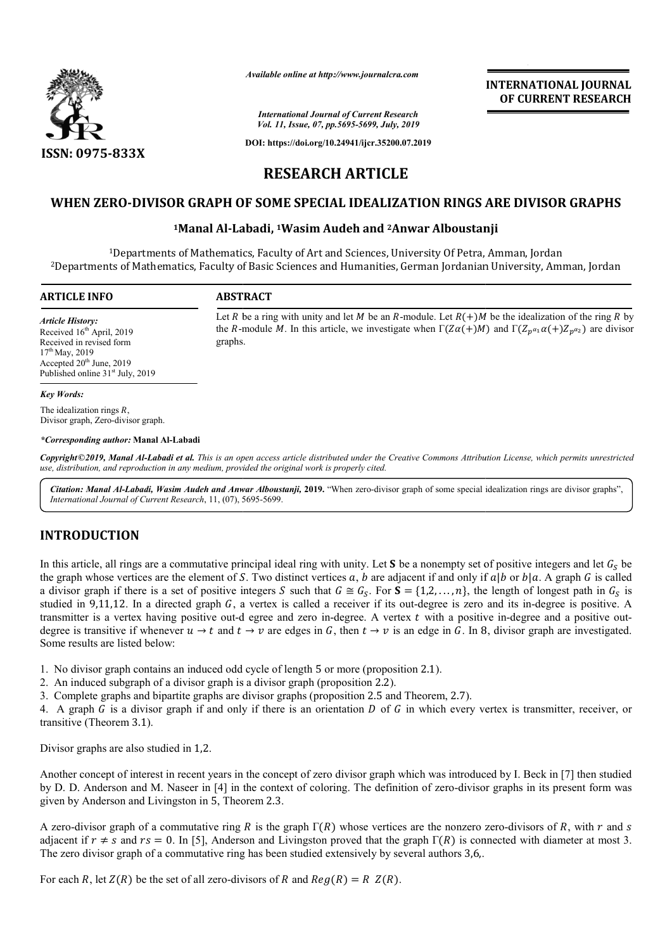

*Available online at http://www.journalcra.com*

# **INTERNATIONAL JOURNAL OF CURRENT RESEARCH**

# **WHEN ZERO-DIVISOR GRAPH OF SOME SPECIAL IDEALIZATION RINGS ARE DIVISOR GRAPHS 1Manal Al-Labadi, DIVISOR Labadi, 1Wasim Audeh and 2Anwar Alboustanji DIVISOR GRAPH SOME SPECIAL Anwar Alboustanji**

|                                                                                                                                                                                                 | лтаните опине игнир.// www.journacra.com                                                                                                                                                                                                                                                                                                                                                                                                                                                                                                                                                                                                                                                                                                                                                                                                                                                | <b>INTERNATIONAL JOURNAL</b><br>OF CURRENT RESEARCH |
|-------------------------------------------------------------------------------------------------------------------------------------------------------------------------------------------------|-----------------------------------------------------------------------------------------------------------------------------------------------------------------------------------------------------------------------------------------------------------------------------------------------------------------------------------------------------------------------------------------------------------------------------------------------------------------------------------------------------------------------------------------------------------------------------------------------------------------------------------------------------------------------------------------------------------------------------------------------------------------------------------------------------------------------------------------------------------------------------------------|-----------------------------------------------------|
|                                                                                                                                                                                                 | <b>International Journal of Current Research</b><br>Vol. 11, Issue, 07, pp.5695-5699, July, 2019                                                                                                                                                                                                                                                                                                                                                                                                                                                                                                                                                                                                                                                                                                                                                                                        |                                                     |
| ISSN: 0975-833X                                                                                                                                                                                 | DOI: https://doi.org/10.24941/ijcr.35200.07.2019                                                                                                                                                                                                                                                                                                                                                                                                                                                                                                                                                                                                                                                                                                                                                                                                                                        |                                                     |
|                                                                                                                                                                                                 | <b>RESEARCH ARTICLE</b>                                                                                                                                                                                                                                                                                                                                                                                                                                                                                                                                                                                                                                                                                                                                                                                                                                                                 |                                                     |
|                                                                                                                                                                                                 | WHEN ZERO-DIVISOR GRAPH OF SOME SPECIAL IDEALIZATION RINGS ARE DIVISOR GRAPHS                                                                                                                                                                                                                                                                                                                                                                                                                                                                                                                                                                                                                                                                                                                                                                                                           |                                                     |
|                                                                                                                                                                                                 | <sup>1</sup> Manal Al-Labadi, <sup>1</sup> Wasim Audeh and <sup>2</sup> Anwar Alboustanji                                                                                                                                                                                                                                                                                                                                                                                                                                                                                                                                                                                                                                                                                                                                                                                               |                                                     |
|                                                                                                                                                                                                 | <sup>1</sup> Departments of Mathematics, Faculty of Art and Sciences, University Of Petra, Amman, Jordan                                                                                                                                                                                                                                                                                                                                                                                                                                                                                                                                                                                                                                                                                                                                                                                |                                                     |
|                                                                                                                                                                                                 | <sup>2</sup> Departments of Mathematics, Faculty of Basic Sciences and Humanities, German Jordanian University, Amman, Jordan                                                                                                                                                                                                                                                                                                                                                                                                                                                                                                                                                                                                                                                                                                                                                           |                                                     |
| <b>ARTICLE INFO</b>                                                                                                                                                                             | <b>ABSTRACT</b>                                                                                                                                                                                                                                                                                                                                                                                                                                                                                                                                                                                                                                                                                                                                                                                                                                                                         |                                                     |
| <b>Article History:</b><br>Received 16th April, 2019<br>Received in revised form<br>$17^{th}$ May, 2019<br>Accepted 20 <sup>th</sup> June, 2019<br>Published online 31 <sup>st</sup> July, 2019 | Let R be a ring with unity and let M be an R-module. Let $R(+)M$ be the idealization of the ring R by<br>the R-module M. In this article, we investigate when $\Gamma(Z\alpha(+)M)$ and $\Gamma(Z_{p^{\alpha_1}}\alpha(+)Z_{p^{\alpha_2}})$ are divisor<br>graphs.                                                                                                                                                                                                                                                                                                                                                                                                                                                                                                                                                                                                                      |                                                     |
| <b>Key Words:</b>                                                                                                                                                                               |                                                                                                                                                                                                                                                                                                                                                                                                                                                                                                                                                                                                                                                                                                                                                                                                                                                                                         |                                                     |
| The idealization rings $R$ ,<br>Divisor graph, Zero-divisor graph.                                                                                                                              |                                                                                                                                                                                                                                                                                                                                                                                                                                                                                                                                                                                                                                                                                                                                                                                                                                                                                         |                                                     |
| *Corresponding author: Manal Al-Labadi                                                                                                                                                          |                                                                                                                                                                                                                                                                                                                                                                                                                                                                                                                                                                                                                                                                                                                                                                                                                                                                                         |                                                     |
|                                                                                                                                                                                                 | Copyright©2019, Manal Al-Labadi et al. This is an open access article distributed under the Creative Commons Attribution License, which permits unrestricted<br>use, distribution, and reproduction in any medium, provided the original work is properly cited.                                                                                                                                                                                                                                                                                                                                                                                                                                                                                                                                                                                                                        |                                                     |
|                                                                                                                                                                                                 | Citation: Manal Al-Labadi, Wasim Audeh and Anwar Alboustanji, 2019. "When zero-divisor graph of some special idealization rings are divisor graphs",                                                                                                                                                                                                                                                                                                                                                                                                                                                                                                                                                                                                                                                                                                                                    |                                                     |
| International Journal of Current Research, 11, (07), 5695-5699.                                                                                                                                 |                                                                                                                                                                                                                                                                                                                                                                                                                                                                                                                                                                                                                                                                                                                                                                                                                                                                                         |                                                     |
| <b>INTRODUCTION</b>                                                                                                                                                                             |                                                                                                                                                                                                                                                                                                                                                                                                                                                                                                                                                                                                                                                                                                                                                                                                                                                                                         |                                                     |
| Some results are listed below:                                                                                                                                                                  | In this article, all rings are a commutative principal ideal ring with unity. Let S be a nonempty set of positive integers and let $G_S$ be<br>the graph whose vertices are the element of S. Two distinct vertices $a$ , $b$ are adjacent if and only if $a b$ or $b a$ . A graph G is called<br>a divisor graph if there is a set of positive integers S such that $G \cong G_S$ . For $S = \{1, 2, , n\}$ , the length of longest path in $G_S$ is<br>studied in 9,11,12. In a directed graph $G$ , a vertex is called a receiver if its out-degree is zero and its in-degree is positive. A<br>transmitter is a vertex having positive out-d egree and zero in-degree. A vertex $t$ with a positive in-degree and a positive out-<br>degree is transitive if whenever $u \to t$ and $t \to v$ are edges in G, then $t \to v$ is an edge in G. In 8, divisor graph are investigated. |                                                     |
| transitive (Theorem 3.1).                                                                                                                                                                       | 1. No divisor graph contains an induced odd cycle of length 5 or more (proposition 2.1).<br>2. An induced subgraph of a divisor graph is a divisor graph (proposition 2.2).<br>3. Complete graphs and bipartite graphs are divisor graphs (proposition 2.5 and Theorem, 2.7).<br>4. A graph $G$ is a divisor graph if and only if there is an orientation $D$ of $G$ in which every vertex is transmitter, receiver, or                                                                                                                                                                                                                                                                                                                                                                                                                                                                 |                                                     |
| Divisor graphs are also studied in 1,2.                                                                                                                                                         |                                                                                                                                                                                                                                                                                                                                                                                                                                                                                                                                                                                                                                                                                                                                                                                                                                                                                         |                                                     |
| given by Anderson and Livingston in 5, Theorem 2.3.                                                                                                                                             | Another concept of interest in recent years in the concept of zero divisor graph which was introduced by I. Beck in [7] then studied<br>by D. D. Anderson and M. Naseer in [4] in the context of coloring. The definition of zero-divisor graphs in its present form was                                                                                                                                                                                                                                                                                                                                                                                                                                                                                                                                                                                                                |                                                     |
|                                                                                                                                                                                                 | A zero-divisor graph of a commutative ring R is the graph $\Gamma(R)$ whose vertices are the nonzero zero-divisors of R, with r and s<br>adjacent if $r \neq s$ and $rs = 0$ . In [5], Anderson and Livingston proved that the graph $\Gamma(R)$ is connected with diameter at most 3.                                                                                                                                                                                                                                                                                                                                                                                                                                                                                                                                                                                                  |                                                     |

#### *Key Words:*

#### *\*Corresponding author:* **Manal Al-Labadi**

# **INTRODUCTION**

- 1. No divisor graph contains an induced odd cycle of length 5 or more (proposition 2.1).
- 2. An induced subgraph of a divisor graph is a divisor graph (proposition 2.2).
- 3. Complete graphs and bipartite graphs are divisor graphs (proposition 2.5 and Theorem, 2.7).

A zero-divisor graph of a commutative ring R is the graph  $\Gamma(R)$  whose vertices are the nonzero zero adjacent if  $r \neq s$  and  $rs = 0$ . In [5], Anderson and Livingston proved that the graph  $\Gamma(R)$  is connected with diameter at most 3. The zero divisor graph of a commutative ring has been studied extensively by several authors 3,6,.

For each R, let  $Z(R)$  be the set of all zero-divisors of R and  $Reg(R) = R Z(R)$ .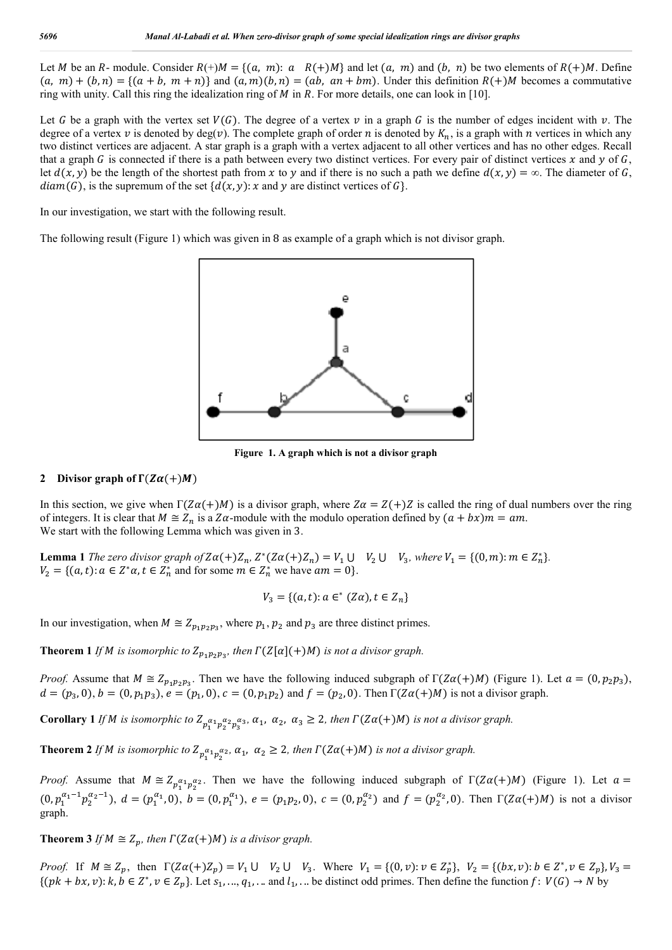Let *M* be an *R*- module. Consider  $R(+)M = \{(a, m): a \in R(+)M\}$  and let  $(a, m)$  and  $(b, n)$  be two elements of  $R(+)M$ . Define  $(a, m) + (b, n) = \{(a + b, m + n)\}$  and  $(a, m)(b, n) = (ab, an + bm)$ . Under this definition  $R(+)M$  becomes a commutative ring with unity. Call this ring the idealization ring of  $M$  in  $R$ . For more details, one can look in [10].

Let G be a graph with the vertex set  $V(G)$ . The degree of a vertex v in a graph G is the number of edges incident with v. The degree of a vertex v is denoted by deg(v). The complete graph of order n is denoted by  $K_n$ , is a graph with n vertices in which any two distinct vertices are adjacent. A star graph is a graph with a vertex adjacent to all other vertices and has no other edges. Recall that a graph  $G$  is connected if there is a path between every two distinct vertices. For every pair of distinct vertices  $x$  and  $y$  of  $G$ , let  $d(x, y)$  be the length of the shortest path from x to y and if there is no such a path we define  $d(x, y) = \infty$ . The diameter of G,  $diam(G)$ , is the supremum of the set  ${d(x, y): x}$  and y are distinct vertices of G.

In our investigation, we start with the following result.

The following result (Figure 1) which was given in 8 as example of a graph which is not divisor graph.



**Figure 1. A graph which is not a divisor graph**

### **2** Divisor graph of  $\Gamma(Z\alpha(+)M)$

In this section, we give when  $\Gamma(Z\alpha(+)M)$  is a divisor graph, where  $Z\alpha = Z(+)Z$  is called the ring of dual numbers over the ring of integers. It is clear that  $M \cong Z_n$  is a  $Z\alpha$ -module with the modulo operation defined by  $(a + bx)m = am$ . We start with the following Lemma which was given in 3.

**Lemma 1** *The zero divisor graph of*  $Z\alpha(+)Z_n$ ,  $Z^*(Z\alpha(+)Z_n) = V_1 \cup V_2 \cup V_3$ , where  $V_1 = \{(0, m): m \in Z_n^*\}$ .  $V_2 = \{(a,t): a \in \mathbb{Z}^*\alpha, t \in \mathbb{Z}_n^*\}$  and for some  $m \in \mathbb{Z}_n^*\}$  we have  $am = 0\}$ .

$$
V_3 = \{(a, t): a \in^* (Z\alpha), t \in Z_n\}
$$

In our investigation, when  $M \cong Z_{p_1, p_2, p_3}$ , where  $p_1, p_2$  and  $p_3$  are three distinct primes.

**Theorem 1** *If M is isomorphic to*  $Z_{p_1p_2p_3}$ *, then*  $\Gamma(Z[\alpha](+)M)$  *is not a divisor graph.* 

*Proof.* Assume that  $M \cong Z_{p_1p_2p_3}$ . Then we have the following induced subgraph of  $\Gamma(Z\alpha(+)M)$  (Figure 1). Let  $a = (0, p_2p_3)$ ,  $d = (p_3, 0), b = (0, p_1p_3), e = (p_1, 0), c = (0, p_1p_2)$  and  $f = (p_2, 0)$ . Then  $\Gamma(Z\alpha(+)M)$  is not a divisor graph.

**Corollary 1** If M is isomorphic to  $Z_{p_1^{a_1}p_2^{a_2}p_3^{a_3}}$ ,  $\alpha_1$ ,  $\alpha_2$ ,  $\alpha_3 \geq 2$ , then  $\Gamma(Z\alpha(+)M)$  is not a divisor graph.

**Theorem 2** If M is isomorphic to  $Z_{p_1^{\alpha_1}p_2^{\alpha_2}}$ ,  $\alpha_1$ ,  $\alpha_2 \ge 2$ , then  $\Gamma(Z\alpha(+)M)$  is not a divisor graph.

*Proof.* Assume that  $M \cong Z_{p_1^{\alpha_1} p_2^{\alpha_2}}$ . Then we have the following induced subgraph of  $\Gamma(Z\alpha(+)M)$  (Figure 1). Let  $\alpha =$  $(0, p_1^{\alpha_1-1} p_2^{\alpha_2-1}), d = (p_1^{\alpha_1}, 0), b = (0, p_1^{\alpha_1}), e = (p_1 p_2, 0), c = (0, p_2^{\alpha_2})$  and  $f = (p_2^{\alpha_2}, 0)$ . Then  $\Gamma(Z\alpha(+)M)$  is not a divisor graph.

**Theorem 3** *If*  $M \cong Z_p$ , *then*  $\Gamma(Z\alpha(+)M)$  *is a divisor graph.* 

*Proof.* If  $M \cong Z_p$ , then  $\Gamma(Z\alpha(+)Z_p) = V_1 \cup V_2 \cup V_3$ . Where  $V_1 = \{(0, v): v \in Z_p^*\}$ ,  $V_2 = \{(bx, v): b \in Z^*, v \in Z_p\}$ ,  $V_3 =$  $\{(pk + bx, v): k, b \in \mathbb{Z}^*, v \in \mathbb{Z}_p\}$ . Let  $s_1, ..., q_1, ...$  and  $l_1, ...$  be distinct odd primes. Then define the function  $f: V(G) \to N$  by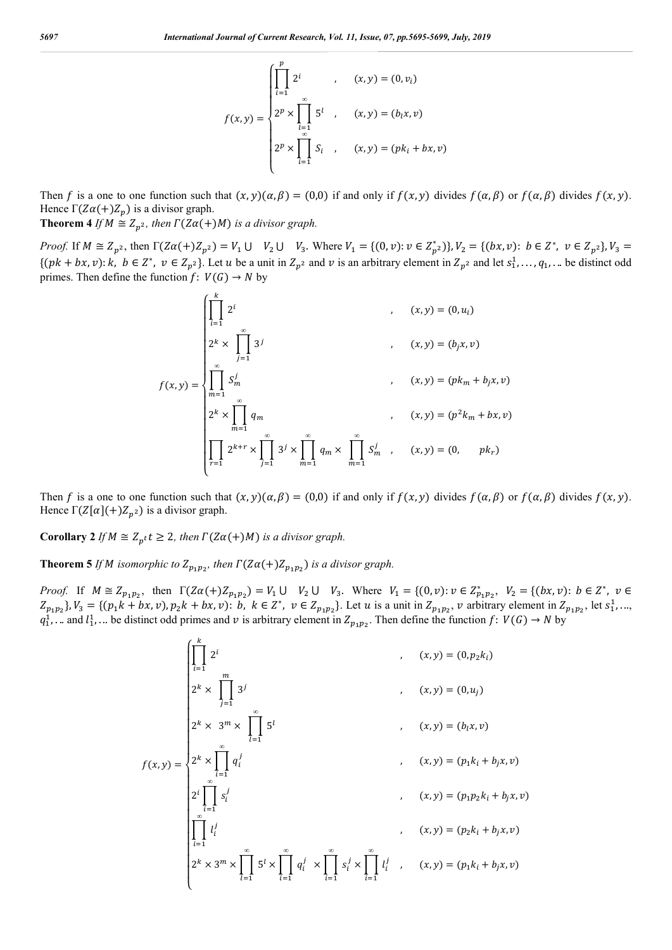$$
f(x,y) = \begin{cases} \prod_{i=1}^{p} 2^{i} & , & (x,y) = (0, v_{i}) \\ 2^{p} \times \prod_{i=1}^{\infty} 5^{i} & , & (x,y) = (b_{i}x, v) \\ 2^{p} \times \prod_{i=1}^{\infty} S_{i} & , & (x,y) = (pk_{i} + bx, v) \end{cases}
$$

Then f is a one to one function such that  $(x, y)(\alpha, \beta) = (0, 0)$  if and only if  $f(x, y)$  divides  $f(\alpha, \beta)$  or  $f(\alpha, \beta)$  divides  $f(x, y)$ . Hence  $\Gamma(Z\alpha(+)Z_p)$  is a divisor graph.

**Theorem 4** *If*  $M \cong Z_{n^2}$ , then  $\Gamma(Z\alpha(+)M)$  is a divisor graph.

*Proof.* If  $M \cong Z_{p^2}$ , then  $\Gamma(Z\alpha(+)Z_{p^2}) = V_1 \cup V_2 \cup V_3$ . Where  $V_1 = \{(0, v): v \in Z_{p^2}^*\}$ ,  $V_2 = \{(bx, v): b \in Z^*, v \in Z_{p^2}\}$ ,  $V_3 =$  $\{(pk + bx, v): k, b \in \mathbb{Z}^*, v \in \mathbb{Z}_{p^2}\}.$  Let u be a unit in  $\mathbb{Z}_{p^2}$  and v is an arbitrary element in  $\mathbb{Z}_{p^2}$  and let  $s_1^1, \ldots, q_1^1, \ldots$  be distinct odd primes. Then define the function  $f: V(G) \rightarrow N$  by

$$
f(x,y) = \begin{cases} \prod_{i=1}^{k} 2^{i} & , & (x,y) = (0, u_{i}) \\ 2^{k} \times \prod_{j=1}^{\infty} 3^{j} & , & (x,y) = (b_{j}x, v) \\ \prod_{m=1}^{\infty} S_{m}^{j} & , & (x,y) = (pk_{m} + b_{j}x, v) \\ 2^{k} \times \prod_{m=1}^{\infty} q_{m} & , & (x,y) = (p^{2}k_{m} + bx, v) \\ \prod_{r=1}^{k} 2^{k+r} \times \prod_{j=1}^{\infty} 3^{j} \times \prod_{m=1}^{\infty} q_{m} \times \prod_{m=1}^{\infty} S_{m}^{j} & , & (x,y) = (0, \quad pk_{r}) \end{cases}
$$

Then f is a one to one function such that  $(x, y)(\alpha, \beta) = (0, 0)$  if and only if  $f(x, y)$  divides  $f(\alpha, \beta)$  or  $f(\alpha, \beta)$  divides  $f(x, y)$ . Hence  $\Gamma(Z[\alpha](+)Z_{p^2})$  is a divisor graph.

**Corollary 2** *If*  $M \cong Z_{p} t$   $t \geq 2$ *, then*  $\Gamma(Z\alpha(+)M)$  *is a divisor graph.* 

**Theorem 5** *If M* isomorphic to  $Z_{p_1p_2}$ , then  $\Gamma(Z\alpha(+)Z_{p_1p_2})$  is a divisor graph.

*Proof.* If  $M \cong Z_{p_1p_2}$ , then  $\Gamma(Z\alpha(+)Z_{p_1p_2}) = V_1 \cup V_2 \cup V_3$ . Where  $V_1 = \{(0, v): v \in Z_{p_1p_2}^*$ ,  $V_2 = \{(bx, v): b \in Z^*$ ,  $v \in Z_{p_1p_2}^*$  $Z_{p_1p_2}$ ,  $V_3 = \{(p_1k + bx, v), p_2k + bx, v): b, k \in \mathbb{Z}^*, v \in Z_{p_1p_2}\}$ . Let u is a unit in  $Z_{p_1p_2}$ , v arbitrary element in  $Z_{p_1p_2}$ , let  $s_1^1$ , ...,  $q_1^1$ , ... and  $l_1^1$ , ... be distinct odd primes and  $v$  is arbitrary element in  $Z_{p_1p_2}$ . Then define the function  $f: V(G) \to N$  by

$$
f(x,y) = \begin{cases} \prod_{i=1}^{k} 2^{i} & , & (x,y) = (0, p_{2}k_{i}) \\ 2^{k} \times \prod_{j=1}^{m} 3^{j} & , & (x,y) = (0, u_{j}) \\ 2^{k} \times 3^{m} \times \prod_{l=1}^{\infty} 5^{l} & , & (x,y) = (b_{l}x, v) \\ 2^{k} \times \prod_{i=1}^{\infty} q_{i}^{j} & , & (x,y) = (p_{1}k_{i} + b_{j}x, v) \\ 2^{i} \prod_{i=1}^{\infty} s_{i}^{j} & , & (x,y) = (p_{1}p_{2}k_{i} + b_{j}x, v) \\ \prod_{i=1}^{\infty} l_{i}^{j} & , & (x,y) = (p_{2}k_{i} + b_{j}x, v) \\ 2^{k} \times 3^{m} \times \prod_{i=1}^{\infty} 5^{i} \times \prod_{i=1}^{\infty} q_{i}^{j} \times \prod_{l=1}^{\infty} s_{i}^{j} \times \prod_{i=1}^{\infty} l_{i}^{j} & , & (x,y) = (p_{1}k_{i} + b_{j}x, v) \end{cases}
$$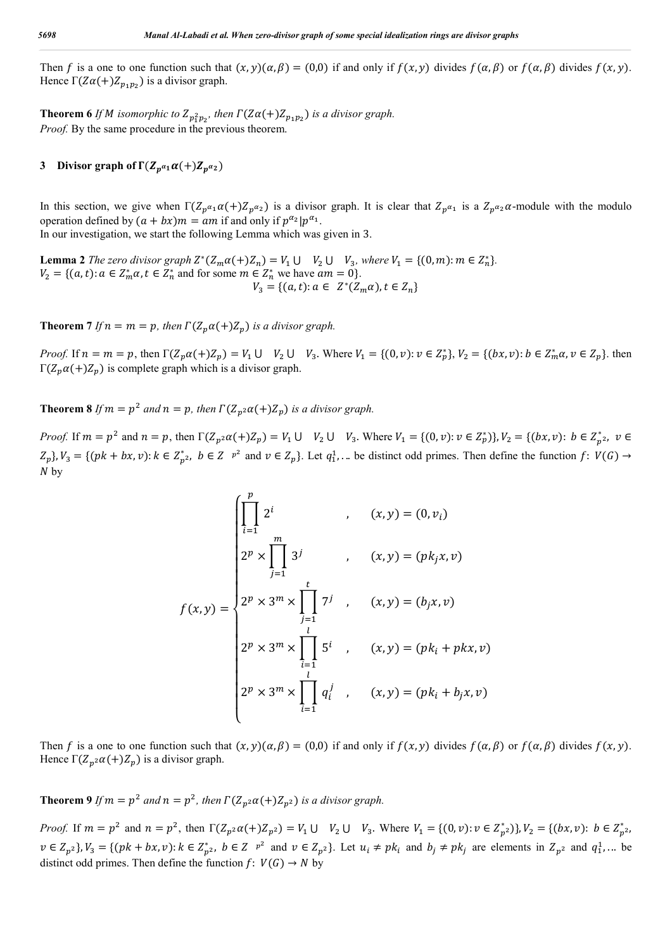Then f is a one to one function such that  $(x, y)(\alpha, \beta) = (0, 0)$  if and only if  $f(x, y)$  divides  $f(\alpha, \beta)$  or  $f(\alpha, \beta)$  divides  $f(x, y)$ . Hence  $\Gamma(Z\alpha(+)Z_{n_1n_2})$  is a divisor graph.

**Theorem 6** *If M* isomorphic to  $Z_{p_1^2p_2}$ , then  $\Gamma(Z\alpha(+)Z_{p_1p_2})$  is a divisor graph. *Proof.* By the same procedure in the previous theorem.

## **3** Divisor graph of  $\Gamma(Z_{p^{\alpha_1}}\alpha(+)Z_{p^{\alpha_2}})$

In this section, we give when  $\Gamma(Z_{p^{\alpha_1}}\alpha(+)Z_{p^{\alpha_2}})$  is a divisor graph. It is clear that  $Z_{p^{\alpha_1}}$  is a  $Z_{p^{\alpha_2}}\alpha$ -module with the modulo operation defined by  $(a + bx)m = am$  if and only if  $p^{\alpha_2}|p^{\alpha_1}$ .

In our investigation, we start the following Lemma which was given in 3.

**Lemma 2** *The zero divisor graph*  $Z^*(Z_m \alpha (+)Z_n) = V_1 \cup V_2 \cup V_3$ *, where*  $V_1 = \{(0, m) : m \in Z_n^*\}$ *.*  $V_2 = \{(a, t): a \in \mathbb{Z}_{m}^* a, t \in \mathbb{Z}_{n}^* \text{ and for some } m \in \mathbb{Z}_{n}^* \text{ we have } am = 0\}.$  $V_3 = \{(a,t): a \in \mathbb{Z}^*(\mathbb{Z}_m \alpha), t \in \mathbb{Z}_n\}$ 

**Theorem 7** *If*  $n = m = p$ , then  $\Gamma(Z_p \alpha (+)Z_p)$  *is a divisor graph.* 

*Proof.* If  $n = m = p$ , then  $\Gamma(Z_p \alpha (+)Z_p) = V_1 \cup V_2 \cup V_3$ . Where  $V_1 = \{(0, v): v \in Z_p^*\}$ ,  $V_2 = \{(bx, v): b \in Z_m^* \alpha, v \in Z_p\}$ . then Γ( $Z_p\alpha(+)Z_p$ ) is complete graph which is a divisor graph.

**Theorem 8** *If*  $m = p^2$  *and*  $n = p$ *, then*  $\Gamma(Z_p \circ \alpha(+)Z_p)$  *is a divisor graph.* 

*Proof.* If  $m = p^2$  and  $n = p$ , then  $\Gamma(Z_{p^2} \alpha (+)Z_p) = V_1 \cup V_2 \cup V_3$ . Where  $V_1 = \{(0, v): v \in Z_p^*\}$ ,  $V_2 = \{(bx, v): b \in Z_{p^2}^*, v \in Z_p^*\}$  $Z_p$ ,  $V_3 = \{(pk + bx, v): k \in Z_{p^2}^*$ ,  $b \in Z \rvert p^2$  and  $v \in Z_p$ . Let  $q_1^1$ , ... be distinct odd primes. Then define the function  $f: V(G) \to V(G)$  $N<sub>by</sub>$ 

$$
f(x,y) = \begin{cases} \prod_{i=1}^{p} 2^{i} & , & (x,y) = (0,v_{i}) \\ 2^{p} \times \prod_{j=1}^{m} 3^{j} & , & (x,y) = (pk_{j}x,v) \\ 2^{p} \times 3^{m} \times \prod_{j=1}^{t} 7^{j} & , & (x,y) = (b_{j}x,v) \\ 2^{p} \times 3^{m} \times \prod_{i=1}^{l} 5^{i} & , & (x,y) = (pk_{i} + pkx,v) \\ 2^{p} \times 3^{m} \times \prod_{i=1}^{l} q_{i}^{j} & , & (x,y) = (pk_{i} + b_{j}x,v) \end{cases}
$$

Then f is a one to one function such that  $(x, y)(\alpha, \beta) = (0, 0)$  if and only if  $f(x, y)$  divides  $f(\alpha, \beta)$  or  $f(\alpha, \beta)$  divides  $f(x, y)$ . Hence  $\Gamma(Z_p \cdot a(+) Z_p)$  is a divisor graph.

**Theorem 9** *If*  $m = p^2$  *and*  $n = p^2$ *, then*  $\Gamma(Z_{n^2} \alpha (+)Z_{n^2})$  *is a divisor graph.* 

*Proof.* If  $m = p^2$  and  $n = p^2$ , then  $\Gamma(Z_{p^2} \alpha (+)Z_{p^2}) = V_1 \cup V_2 \cup V_3$ . Where  $V_1 = \{(0, v): v \in Z_{p^2}^*\}$ ,  $V_2 = \{(bx, v): b \in Z_{p^2}^*\}$  $v \in Z_{p^2}$ ,  $V_3 = \{(pk + bx, v): k \in Z_{p^2}^*$ ,  $b \in Z \rvert p^2$  and  $v \in Z_{p^2}$ . Let  $u_i \neq pk_i$  and  $b_j \neq pk_j$  are elements in  $Z_{p^2}$  and  $q_1^1$ ... be distinct odd primes. Then define the function  $f: V(G) \rightarrow N$  by